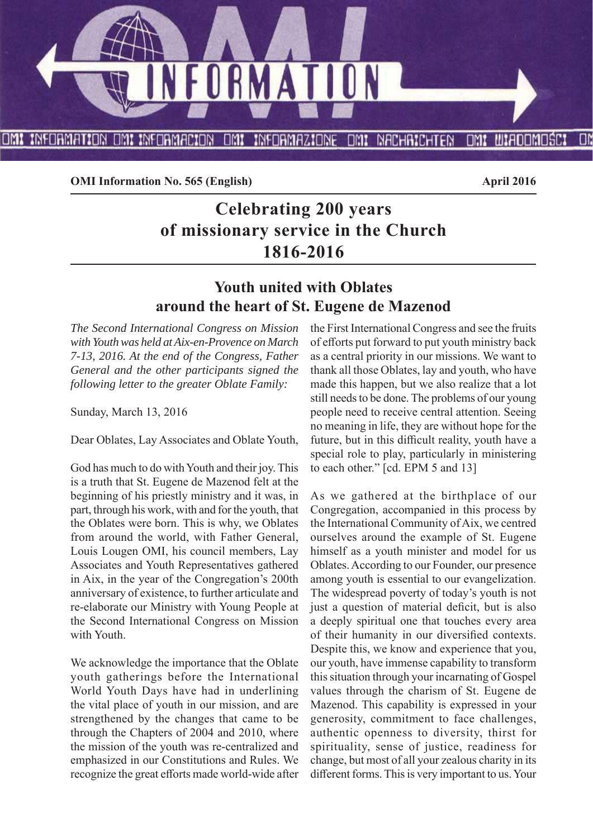

**OMI Information No. 565 (English)** April 2016

# **Celebrating 200 years of missionary service in the Church 1816-2016**

# **Youth united with Oblates around the heart of St. Eugene de Mazenod**

*The Second International Congress on Mission with Youth was held at Aix-en-Provence on March 7-13, 2016. At the end of the Congress, Father General and the other participants signed the following letter to the greater Oblate Family:*

Sunday, March 13, 2016

Dear Oblates, Lay Associates and Oblate Youth,

God has much to do with Youth and their joy. This is a truth that St. Eugene de Mazenod felt at the beginning of his priestly ministry and it was, in part, through his work, with and for the youth, that the Oblates were born. This is why, we Oblates from around the world, with Father General, Louis Lougen OMI, his council members, Lay Associates and Youth Representatives gathered in Aix, in the year of the Congregation's 200th anniversary of existence, to further articulate and re-elaborate our Ministry with Young People at the Second International Congress on Mission with Youth.

We acknowledge the importance that the Oblate youth gatherings before the International World Youth Days have had in underlining the vital place of youth in our mission, and are strengthened by the changes that came to be through the Chapters of 2004 and 2010, where the mission of the youth was re-centralized and emphasized in our Constitutions and Rules. We recognize the great efforts made world-wide after the First International Congress and see the fruits of efforts put forward to put youth ministry back as a central priority in our missions. We want to thank all those Oblates, lay and youth, who have made this happen, but we also realize that a lot still needs to be done. The problems of our young people need to receive central attention. Seeing no meaning in life, they are without hope for the future, but in this difficult reality, youth have a special role to play, particularly in ministering to each other." [cd. EPM 5 and 13]

As we gathered at the birthplace of our Congregation, accompanied in this process by the International Community of Aix, we centred ourselves around the example of St. Eugene himself as a youth minister and model for us Oblates. According to our Founder, our presence among youth is essential to our evangelization. The widespread poverty of today's youth is not just a question of material deficit, but is also a deeply spiritual one that touches every area of their humanity in our diversified contexts. Despite this, we know and experience that you, our youth, have immense capability to transform this situation through your incarnating of Gospel values through the charism of St. Eugene de Mazenod. This capability is expressed in your generosity, commitment to face challenges, authentic openness to diversity, thirst for spirituality, sense of justice, readiness for change, but most of all your zealous charity in its different forms. This is very important to us. Your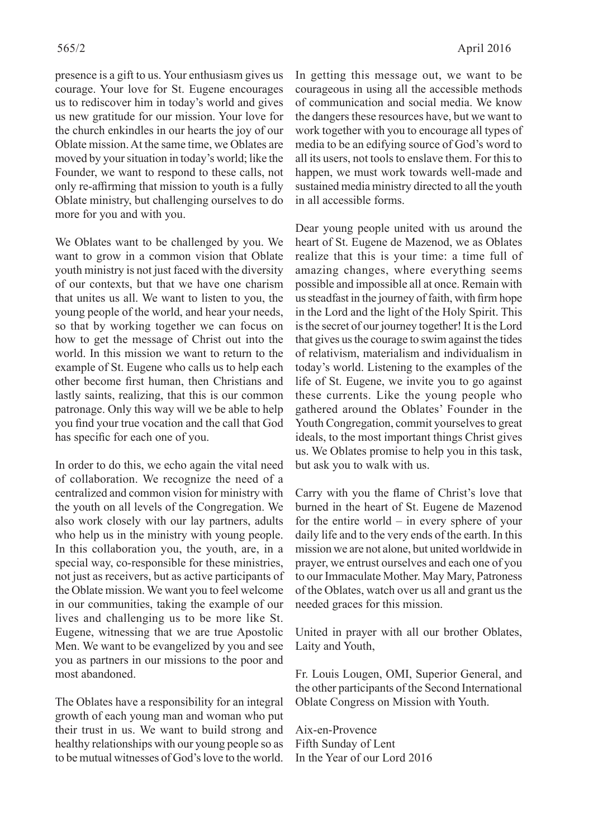presence is a gift to us. Your enthusiasm gives us courage. Your love for St. Eugene encourages us to rediscover him in today's world and gives us new gratitude for our mission. Your love for the church enkindles in our hearts the joy of our Oblate mission. At the same time, we Oblates are moved by your situation in today's world; like the Founder, we want to respond to these calls, not only re-affirming that mission to youth is a fully Oblate ministry, but challenging ourselves to do more for you and with you.

We Oblates want to be challenged by you. We want to grow in a common vision that Oblate youth ministry is not just faced with the diversity of our contexts, but that we have one charism that unites us all. We want to listen to you, the young people of the world, and hear your needs, so that by working together we can focus on how to get the message of Christ out into the world. In this mission we want to return to the example of St. Eugene who calls us to help each other become first human, then Christians and lastly saints, realizing, that this is our common patronage. Only this way will we be able to help you find your true vocation and the call that God has specific for each one of you.

In order to do this, we echo again the vital need of collaboration. We recognize the need of a centralized and common vision for ministry with the youth on all levels of the Congregation. We also work closely with our lay partners, adults who help us in the ministry with young people. In this collaboration you, the youth, are, in a special way, co-responsible for these ministries, not just as receivers, but as active participants of the Oblate mission. We want you to feel welcome in our communities, taking the example of our lives and challenging us to be more like St. Eugene, witnessing that we are true Apostolic Men. We want to be evangelized by you and see you as partners in our missions to the poor and most abandoned.

The Oblates have a responsibility for an integral growth of each young man and woman who put their trust in us. We want to build strong and healthy relationships with our young people so as to be mutual witnesses of God's love to the world. In getting this message out, we want to be courageous in using all the accessible methods of communication and social media. We know the dangers these resources have, but we want to work together with you to encourage all types of media to be an edifying source of God's word to all its users, not tools to enslave them. For this to happen, we must work towards well-made and sustained media ministry directed to all the youth in all accessible forms.

Dear young people united with us around the heart of St. Eugene de Mazenod, we as Oblates realize that this is your time: a time full of amazing changes, where everything seems possible and impossible all at once. Remain with us steadfast in the journey of faith, with firm hope in the Lord and the light of the Holy Spirit. This is the secret of our journey together! It is the Lord that gives us the courage to swim against the tides of relativism, materialism and individualism in today's world. Listening to the examples of the life of St. Eugene, we invite you to go against these currents. Like the young people who gathered around the Oblates' Founder in the Youth Congregation, commit yourselves to great ideals, to the most important things Christ gives us. We Oblates promise to help you in this task, but ask you to walk with us.

Carry with you the flame of Christ's love that burned in the heart of St. Eugene de Mazenod for the entire world – in every sphere of your daily life and to the very ends of the earth. In this mission we are not alone, but united worldwide in prayer, we entrust ourselves and each one of you to our Immaculate Mother. May Mary, Patroness of the Oblates, watch over us all and grant us the needed graces for this mission.

United in prayer with all our brother Oblates, Laity and Youth,

Fr. Louis Lougen, OMI, Superior General, and the other participants of the Second International Oblate Congress on Mission with Youth.

Aix-en-Provence Fifth Sunday of Lent In the Year of our Lord 2016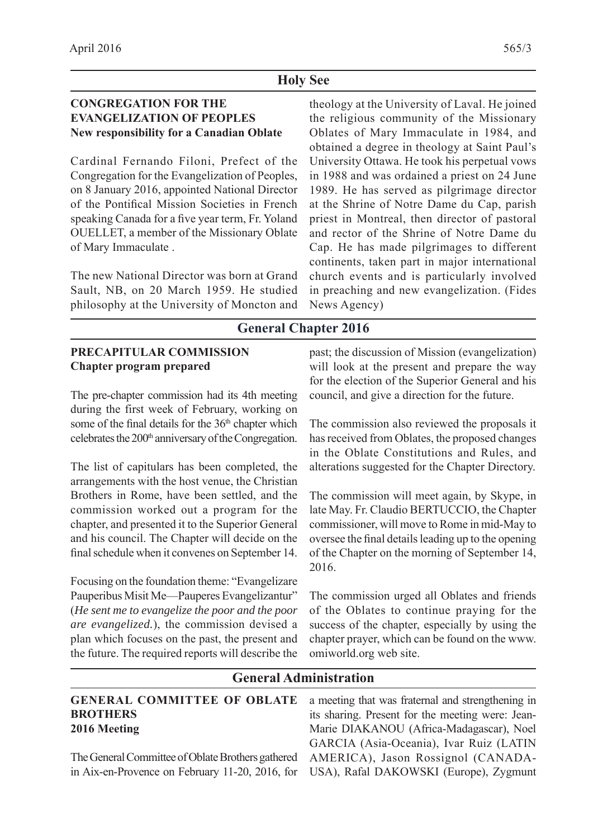## **Holy See**

# **CONGREGATION FOR THE EVANGELIZATION OF PEOPLES New responsibility for a Canadian Oblate**

Cardinal Fernando Filoni, Prefect of the Congregation for the Evangelization of Peoples, on 8 January 2016, appointed National Director of the Pontifical Mission Societies in French speaking Canada for a five year term, Fr. Yoland OUELLET, a member of the Missionary Oblate of Mary Immaculate .

The new National Director was born at Grand Sault, NB, on 20 March 1959. He studied philosophy at the University of Moncton and

theology at the University of Laval. He joined the religious community of the Missionary Oblates of Mary Immaculate in 1984, and obtained a degree in theology at Saint Paul's University Ottawa. He took his perpetual vows in 1988 and was ordained a priest on 24 June 1989. He has served as pilgrimage director at the Shrine of Notre Dame du Cap, parish priest in Montreal, then director of pastoral and rector of the Shrine of Notre Dame du Cap. He has made pilgrimages to different continents, taken part in major international church events and is particularly involved in preaching and new evangelization. (Fides News Agency)

# **General Chapter 2016**

#### **PRECAPITULAR COMMISSION Chapter program prepared** past; the discussion of Mission (evangelization) will look at the present and prepare the way for the election of the Superior General and his

The pre-chapter commission had its 4th meeting during the first week of February, working on some of the final details for the 36<sup>th</sup> chapter which celebrates the  $200<sup>th</sup>$  anniversary of the Congregation.

The list of capitulars has been completed, the arrangements with the host venue, the Christian Brothers in Rome, have been settled, and the commission worked out a program for the chapter, and presented it to the Superior General and his council. The Chapter will decide on the final schedule when it convenes on September 14.

Focusing on the foundation theme: "Evangelizare Pauperibus Misit Me—Pauperes Evangelizantur" (*He sent me to evangelize the poor and the poor are evangelized.*), the commission devised a plan which focuses on the past, the present and the future. The required reports will describe the council, and give a direction for the future.

The commission also reviewed the proposals it has received from Oblates, the proposed changes in the Oblate Constitutions and Rules, and alterations suggested for the Chapter Directory.

The commission will meet again, by Skype, in late May. Fr. Claudio BERTUCCIO, the Chapter commissioner, will move to Rome in mid-May to oversee the final details leading up to the opening of the Chapter on the morning of September 14, 2016.

The commission urged all Oblates and friends of the Oblates to continue praying for the success of the chapter, especially by using the chapter prayer, which can be found on the www. omiworld.org web site.

# **General Administration**

# **GENERAL COMMITTEE OF OBLATE BROTHERS 2016 Meeting**

The General Committee of Oblate Brothers gathered in Aix-en-Provence on February 11-20, 2016, for

a meeting that was fraternal and strengthening in its sharing. Present for the meeting were: Jean-Marie DIAKANOU (Africa-Madagascar), Noel GARCIA (Asia-Oceania), Ivar Ruiz (LATIN AMERICA), Jason Rossignol (CANADA-USA), Rafal DAKOWSKI (Europe), Zygmunt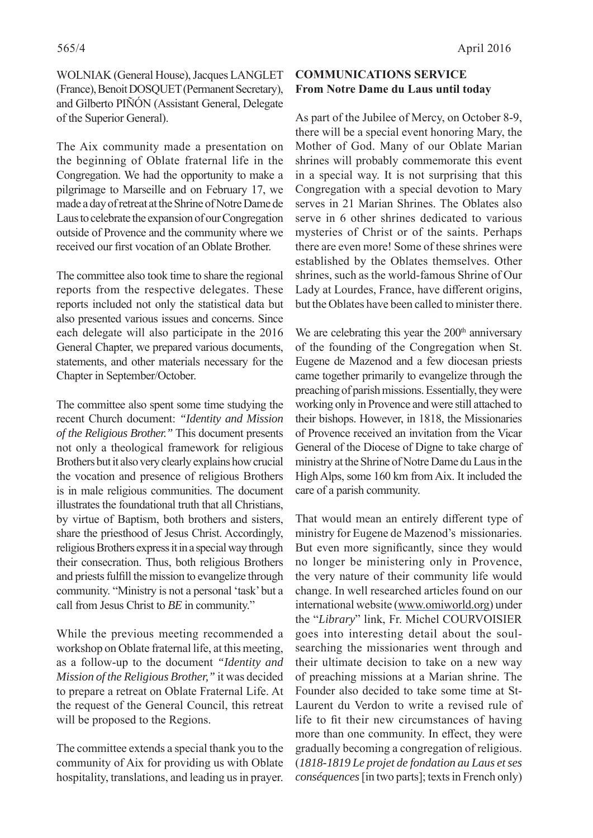WOLNIAK (General House), Jacques LANGLET (France), Benoit DOSQUET (Permanent Secretary), and Gilberto PIÑÓN (Assistant General, Delegate of the Superior General).

The Aix community made a presentation on the beginning of Oblate fraternal life in the Congregation. We had the opportunity to make a pilgrimage to Marseille and on February 17, we made a day of retreat at the Shrine of Notre Dame de Laus to celebrate the expansion of our Congregation outside of Provence and the community where we received our first vocation of an Oblate Brother.

The committee also took time to share the regional reports from the respective delegates. These reports included not only the statistical data but also presented various issues and concerns. Since each delegate will also participate in the 2016 General Chapter, we prepared various documents, statements, and other materials necessary for the Chapter in September/October.

The committee also spent some time studying the recent Church document: *"Identity and Mission of the Religious Brother."* This document presents not only a theological framework for religious Brothers but it also very clearly explains how crucial the vocation and presence of religious Brothers is in male religious communities. The document illustrates the foundational truth that all Christians, by virtue of Baptism, both brothers and sisters, share the priesthood of Jesus Christ. Accordingly, religious Brothers express it in a special way through their consecration. Thus, both religious Brothers and priests fulfill the mission to evangelize through community. "Ministry is not a personal 'task' but a call from Jesus Christ to *BE* in community."

While the previous meeting recommended a workshop on Oblate fraternal life, at this meeting, as a follow-up to the document *"Identity and Mission of the Religious Brother,"* it was decided to prepare a retreat on Oblate Fraternal Life. At the request of the General Council, this retreat will be proposed to the Regions.

The committee extends a special thank you to the community of Aix for providing us with Oblate hospitality, translations, and leading us in prayer.

# **COMMUNICATIONS SERVICE From Notre Dame du Laus until today**

As part of the Jubilee of Mercy, on October 8-9, there will be a special event honoring Mary, the Mother of God. Many of our Oblate Marian shrines will probably commemorate this event in a special way. It is not surprising that this Congregation with a special devotion to Mary serves in 21 Marian Shrines. The Oblates also serve in 6 other shrines dedicated to various mysteries of Christ or of the saints. Perhaps there are even more! Some of these shrines were established by the Oblates themselves. Other shrines, such as the world-famous Shrine of Our Lady at Lourdes, France, have different origins, but the Oblates have been called to minister there.

We are celebrating this year the  $200<sup>th</sup>$  anniversary of the founding of the Congregation when St. Eugene de Mazenod and a few diocesan priests came together primarily to evangelize through the preaching of parish missions. Essentially, they were working only in Provence and were still attached to their bishops. However, in 1818, the Missionaries of Provence received an invitation from the Vicar General of the Diocese of Digne to take charge of ministry at the Shrine of Notre Dame du Laus in the High Alps, some 160 km from Aix. It included the care of a parish community.

That would mean an entirely different type of ministry for Eugene de Mazenod's missionaries. But even more significantly, since they would no longer be ministering only in Provence, the very nature of their community life would change. In well researched articles found on our international website (www.omiworld.org) under the "*Library*" link, Fr. Michel COURVOISIER goes into interesting detail about the soulsearching the missionaries went through and their ultimate decision to take on a new way of preaching missions at a Marian shrine. The Founder also decided to take some time at St-Laurent du Verdon to write a revised rule of life to fit their new circumstances of having more than one community. In effect, they were gradually becoming a congregation of religious. (*1818-1819 Le projet de fondation au Laus et ses conséquences* [in two parts]; texts in French only)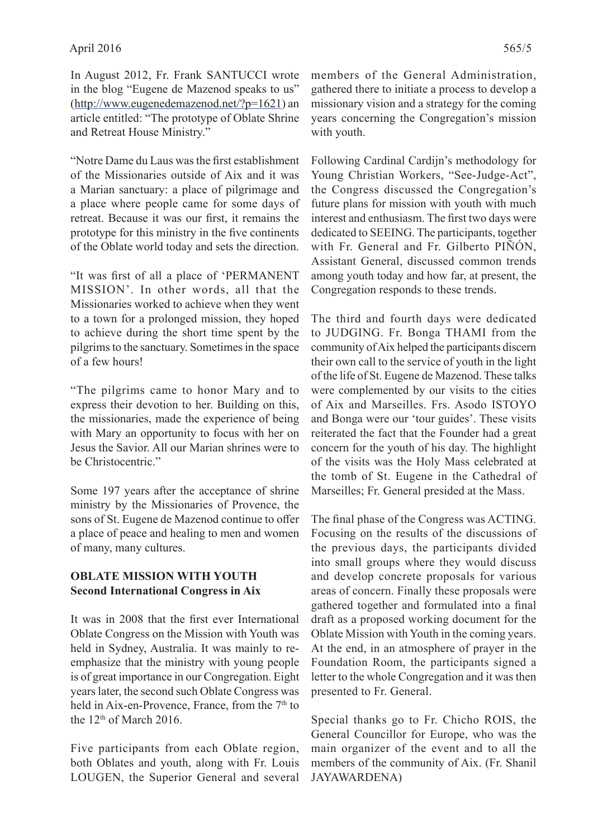In August 2012, Fr. Frank SANTUCCI wrote in the blog "Eugene de Mazenod speaks to us" (http://www.eugenedemazenod.net/?p=1621) an article entitled: "The prototype of Oblate Shrine and Retreat House Ministry."

"Notre Dame du Laus was the first establishment" of the Missionaries outside of Aix and it was a Marian sanctuary: a place of pilgrimage and a place where people came for some days of retreat. Because it was our first, it remains the prototype for this ministry in the five continents of the Oblate world today and sets the direction.

"It was first of all a place of 'PERMANENT MISSION'. In other words, all that the Missionaries worked to achieve when they went to a town for a prolonged mission, they hoped to achieve during the short time spent by the pilgrims to the sanctuary. Sometimes in the space of a few hours!

"The pilgrims came to honor Mary and to express their devotion to her. Building on this, the missionaries, made the experience of being with Mary an opportunity to focus with her on Jesus the Savior. All our Marian shrines were to be Christocentric."

Some 197 years after the acceptance of shrine ministry by the Missionaries of Provence, the sons of St. Eugene de Mazenod continue to offer a place of peace and healing to men and women of many, many cultures.

#### **OBLATE MISSION WITH YOUTH Second International Congress in Aix**

It was in 2008 that the first ever International Oblate Congress on the Mission with Youth was held in Sydney, Australia. It was mainly to reemphasize that the ministry with young people is of great importance in our Congregation. Eight years later, the second such Oblate Congress was held in Aix-en-Provence, France, from the  $7<sup>th</sup>$  to the 12<sup>th</sup> of March 2016.

Five participants from each Oblate region, both Oblates and youth, along with Fr. Louis LOUGEN, the Superior General and several members of the General Administration, gathered there to initiate a process to develop a missionary vision and a strategy for the coming years concerning the Congregation's mission with youth.

Following Cardinal Cardijn's methodology for Young Christian Workers, "See-Judge-Act", the Congress discussed the Congregation's future plans for mission with youth with much interest and enthusiasm. The first two days were dedicated to SEEING. The participants, together with Fr. General and Fr. Gilberto PIÑÓN, Assistant General, discussed common trends among youth today and how far, at present, the Congregation responds to these trends.

The third and fourth days were dedicated to JUDGING. Fr. Bonga THAMI from the community of Aix helped the participants discern their own call to the service of youth in the light of the life of St. Eugene de Mazenod. These talks were complemented by our visits to the cities of Aix and Marseilles. Frs. Asodo ISTOYO and Bonga were our 'tour guides'. These visits reiterated the fact that the Founder had a great concern for the youth of his day. The highlight of the visits was the Holy Mass celebrated at the tomb of St. Eugene in the Cathedral of Marseilles; Fr. General presided at the Mass.

The final phase of the Congress was ACTING. Focusing on the results of the discussions of the previous days, the participants divided into small groups where they would discuss and develop concrete proposals for various areas of concern. Finally these proposals were gathered together and formulated into a final draft as a proposed working document for the Oblate Mission with Youth in the coming years. At the end, in an atmosphere of prayer in the Foundation Room, the participants signed a letter to the whole Congregation and it was then presented to Fr. General.

Special thanks go to Fr. Chicho ROIS, the General Councillor for Europe, who was the main organizer of the event and to all the members of the community of Aix. (Fr. Shanil JAYAWARDENA)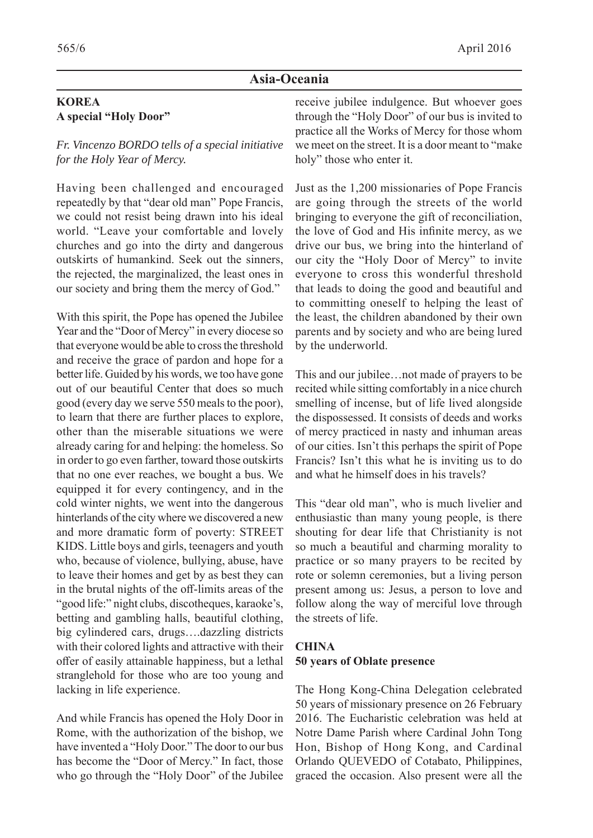# **Asia-Oceania**

# **KOREA A special "Holy Door"**

*Fr. Vincenzo BORDO tells of a special initiative for the Holy Year of Mercy.*

Having been challenged and encouraged repeatedly by that "dear old man" Pope Francis, we could not resist being drawn into his ideal world. "Leave your comfortable and lovely churches and go into the dirty and dangerous outskirts of humankind. Seek out the sinners, the rejected, the marginalized, the least ones in our society and bring them the mercy of God."

With this spirit, the Pope has opened the Jubilee Year and the "Door of Mercy" in every diocese so that everyone would be able to cross the threshold and receive the grace of pardon and hope for a better life. Guided by his words, we too have gone out of our beautiful Center that does so much good (every day we serve 550 meals to the poor), to learn that there are further places to explore, other than the miserable situations we were already caring for and helping: the homeless. So in order to go even farther, toward those outskirts that no one ever reaches, we bought a bus. We equipped it for every contingency, and in the cold winter nights, we went into the dangerous hinterlands of the city where we discovered a new and more dramatic form of poverty: STREET KIDS. Little boys and girls, teenagers and youth who, because of violence, bullying, abuse, have to leave their homes and get by as best they can in the brutal nights of the off -limits areas of the "good life:" night clubs, discotheques, karaoke's, betting and gambling halls, beautiful clothing, big cylindered cars, drugs….dazzling districts with their colored lights and attractive with their offer of easily attainable happiness, but a lethal stranglehold for those who are too young and lacking in life experience.

And while Francis has opened the Holy Door in Rome, with the authorization of the bishop, we have invented a "Holy Door." The door to our bus has become the "Door of Mercy." In fact, those who go through the "Holy Door" of the Jubilee

receive jubilee indulgence. But whoever goes through the "Holy Door" of our bus is invited to practice all the Works of Mercy for those whom we meet on the street. It is a door meant to "make holy" those who enter it.

Just as the 1,200 missionaries of Pope Francis are going through the streets of the world bringing to everyone the gift of reconciliation, the love of God and His infinite mercy, as we drive our bus, we bring into the hinterland of our city the "Holy Door of Mercy" to invite everyone to cross this wonderful threshold that leads to doing the good and beautiful and to committing oneself to helping the least of the least, the children abandoned by their own parents and by society and who are being lured by the underworld.

This and our jubilee…not made of prayers to be recited while sitting comfortably in a nice church smelling of incense, but of life lived alongside the dispossessed. It consists of deeds and works of mercy practiced in nasty and inhuman areas of our cities. Isn't this perhaps the spirit of Pope Francis? Isn't this what he is inviting us to do and what he himself does in his travels?

This "dear old man", who is much livelier and enthusiastic than many young people, is there shouting for dear life that Christianity is not so much a beautiful and charming morality to practice or so many prayers to be recited by rote or solemn ceremonies, but a living person present among us: Jesus, a person to love and follow along the way of merciful love through the streets of life.

# **CHINA 50 years of Oblate presence**

The Hong Kong-China Delegation celebrated 50 years of missionary presence on 26 February 2016. The Eucharistic celebration was held at Notre Dame Parish where Cardinal John Tong Hon, Bishop of Hong Kong, and Cardinal Orlando QUEVEDO of Cotabato, Philippines, graced the occasion. Also present were all the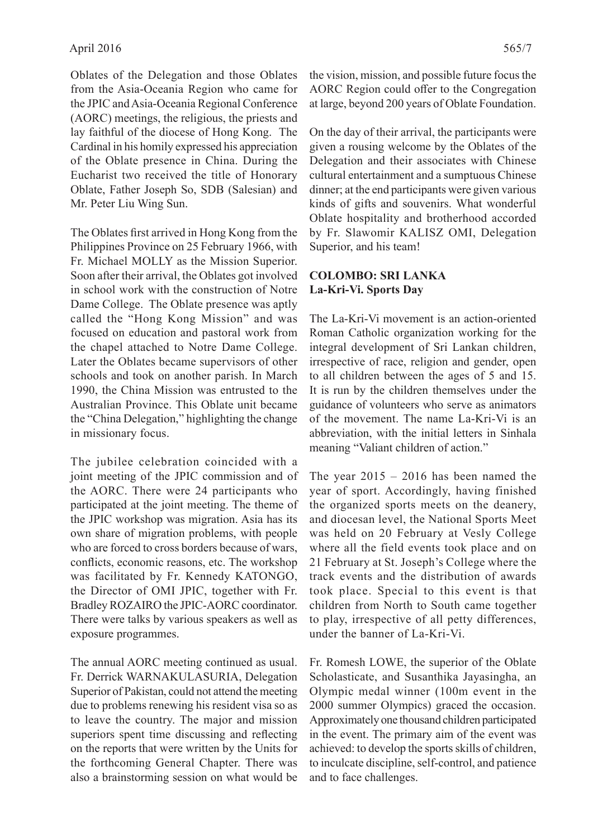Oblates of the Delegation and those Oblates from the Asia-Oceania Region who came for the JPIC and Asia-Oceania Regional Conference (AORC) meetings, the religious, the priests and lay faithful of the diocese of Hong Kong. The Cardinal in his homily expressed his appreciation of the Oblate presence in China. During the Eucharist two received the title of Honorary Oblate, Father Joseph So, SDB (Salesian) and Mr. Peter Liu Wing Sun.

The Oblates first arrived in Hong Kong from the Philippines Province on 25 February 1966, with Fr. Michael MOLLY as the Mission Superior. Soon after their arrival, the Oblates got involved in school work with the construction of Notre Dame College. The Oblate presence was aptly called the "Hong Kong Mission" and was focused on education and pastoral work from the chapel attached to Notre Dame College. Later the Oblates became supervisors of other schools and took on another parish. In March 1990, the China Mission was entrusted to the Australian Province. This Oblate unit became the "China Delegation," highlighting the change in missionary focus.

The jubilee celebration coincided with a joint meeting of the JPIC commission and of the AORC. There were 24 participants who participated at the joint meeting. The theme of the JPIC workshop was migration. Asia has its own share of migration problems, with people who are forced to cross borders because of wars, conflicts, economic reasons, etc. The workshop was facilitated by Fr. Kennedy KATONGO, the Director of OMI JPIC, together with Fr. Bradley ROZAIRO the JPIC-AORC coordinator. There were talks by various speakers as well as exposure programmes.

The annual AORC meeting continued as usual. Fr. Derrick WARNAKULASURIA, Delegation Superior of Pakistan, could not attend the meeting due to problems renewing his resident visa so as to leave the country. The major and mission superiors spent time discussing and reflecting on the reports that were written by the Units for the forthcoming General Chapter. There was also a brainstorming session on what would be

the vision, mission, and possible future focus the AORC Region could offer to the Congregation at large, beyond 200 years of Oblate Foundation.

On the day of their arrival, the participants were given a rousing welcome by the Oblates of the Delegation and their associates with Chinese cultural entertainment and a sumptuous Chinese dinner; at the end participants were given various kinds of gifts and souvenirs. What wonderful Oblate hospitality and brotherhood accorded by Fr. Slawomir KALISZ OMI, Delegation Superior, and his team!

# **COLOMBO: SRI LANKA La-Kri-Vi. Sports Day**

The La-Kri-Vi movement is an action-oriented Roman Catholic organization working for the integral development of Sri Lankan children, irrespective of race, religion and gender, open to all children between the ages of 5 and 15. It is run by the children themselves under the guidance of volunteers who serve as animators of the movement. The name La-Kri-Vi is an abbreviation, with the initial letters in Sinhala meaning "Valiant children of action."

The year  $2015 - 2016$  has been named the year of sport. Accordingly, having finished the organized sports meets on the deanery, and diocesan level, the National Sports Meet was held on 20 February at Vesly College where all the field events took place and on 21 February at St. Joseph's College where the track events and the distribution of awards took place. Special to this event is that children from North to South came together to play, irrespective of all petty differences, under the banner of La-Kri-Vi.

Fr. Romesh LOWE, the superior of the Oblate Scholasticate, and Susanthika Jayasingha, an Olympic medal winner (100m event in the 2000 summer Olympics) graced the occasion. Approximately one thousand children participated in the event. The primary aim of the event was achieved: to develop the sports skills of children, to inculcate discipline, self-control, and patience and to face challenges.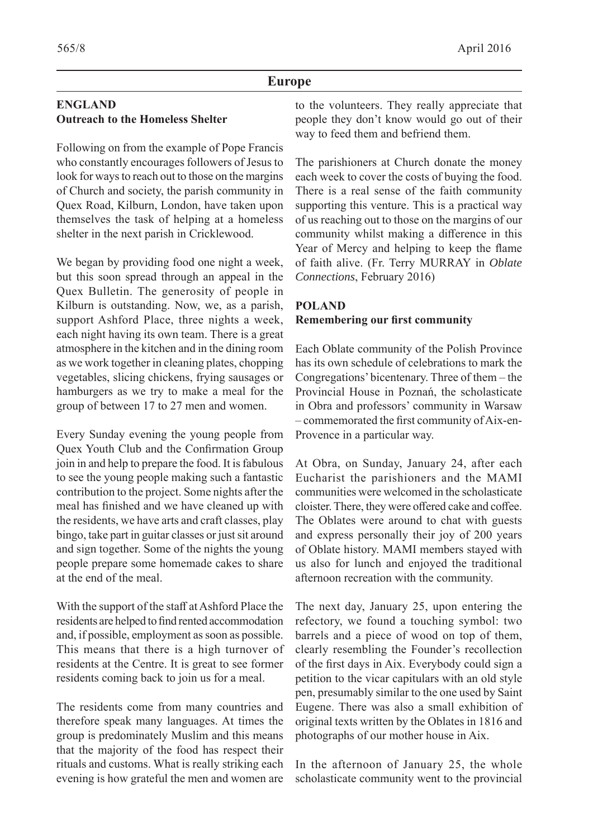#### **Europe**

# **ENGLAND Outreach to the Homeless Shelter**

Following on from the example of Pope Francis who constantly encourages followers of Jesus to look for ways to reach out to those on the margins of Church and society, the parish community in Quex Road, Kilburn, London, have taken upon themselves the task of helping at a homeless shelter in the next parish in Cricklewood.

We began by providing food one night a week, but this soon spread through an appeal in the Quex Bulletin. The generosity of people in Kilburn is outstanding. Now, we, as a parish, support Ashford Place, three nights a week, each night having its own team. There is a great atmosphere in the kitchen and in the dining room as we work together in cleaning plates, chopping vegetables, slicing chickens, frying sausages or hamburgers as we try to make a meal for the group of between 17 to 27 men and women.

Every Sunday evening the young people from Quex Youth Club and the Confirmation Group join in and help to prepare the food. It is fabulous to see the young people making such a fantastic contribution to the project. Some nights after the meal has finished and we have cleaned up with the residents, we have arts and craft classes, play bingo, take part in guitar classes or just sit around and sign together. Some of the nights the young people prepare some homemade cakes to share at the end of the meal.

With the support of the staff at Ashford Place the residents are helped to find rented accommodation and, if possible, employment as soon as possible. This means that there is a high turnover of residents at the Centre. It is great to see former residents coming back to join us for a meal.

The residents come from many countries and therefore speak many languages. At times the group is predominately Muslim and this means that the majority of the food has respect their rituals and customs. What is really striking each evening is how grateful the men and women are

to the volunteers. They really appreciate that people they don't know would go out of their way to feed them and befriend them.

The parishioners at Church donate the money each week to cover the costs of buying the food. There is a real sense of the faith community supporting this venture. This is a practical way of us reaching out to those on the margins of our community whilst making a difference in this Year of Mercy and helping to keep the flame of faith alive. (Fr. Terry MURRAY in *Oblate Connections*, February 2016)

# **POLAND Remembering our first community**

Each Oblate community of the Polish Province has its own schedule of celebrations to mark the Congregations' bicentenary. Three of them – the Provincial House in Poznań, the scholasticate in Obra and professors' community in Warsaw – commemorated the first community of Aix-en-Provence in a particular way.

At Obra, on Sunday, January 24, after each Eucharist the parishioners and the MAMI communities were welcomed in the scholasticate cloister. There, they were offered cake and coffee. The Oblates were around to chat with guests and express personally their joy of 200 years of Oblate history. MAMI members stayed with us also for lunch and enjoyed the traditional afternoon recreation with the community.

The next day, January 25, upon entering the refectory, we found a touching symbol: two barrels and a piece of wood on top of them, clearly resembling the Founder's recollection of the first days in Aix. Everybody could sign a petition to the vicar capitulars with an old style pen, presumably similar to the one used by Saint Eugene. There was also a small exhibition of original texts written by the Oblates in 1816 and photographs of our mother house in Aix.

In the afternoon of January 25, the whole scholasticate community went to the provincial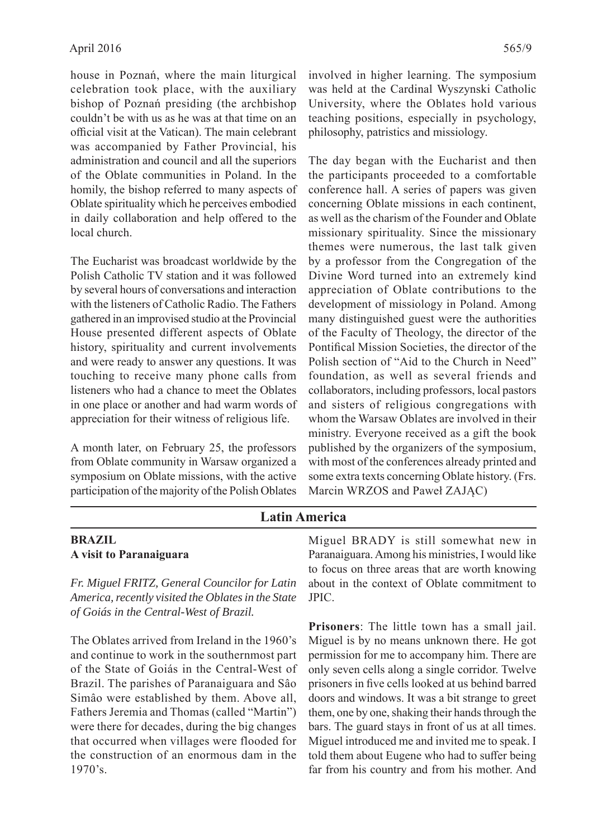house in Poznań, where the main liturgical celebration took place, with the auxiliary bishop of Poznań presiding (the archbishop couldn't be with us as he was at that time on an official visit at the Vatican). The main celebrant was accompanied by Father Provincial, his administration and council and all the superiors of the Oblate communities in Poland. In the homily, the bishop referred to many aspects of Oblate spirituality which he perceives embodied in daily collaboration and help offered to the local church.

The Eucharist was broadcast worldwide by the Polish Catholic TV station and it was followed by several hours of conversations and interaction with the listeners of Catholic Radio. The Fathers gathered in an improvised studio at the Provincial House presented different aspects of Oblate history, spirituality and current involvements and were ready to answer any questions. It was touching to receive many phone calls from listeners who had a chance to meet the Oblates in one place or another and had warm words of appreciation for their witness of religious life.

A month later, on February 25, the professors from Oblate community in Warsaw organized a symposium on Oblate missions, with the active participation of the majority of the Polish Oblates involved in higher learning. The symposium was held at the Cardinal Wyszynski Catholic University, where the Oblates hold various teaching positions, especially in psychology, philosophy, patristics and missiology.

The day began with the Eucharist and then the participants proceeded to a comfortable conference hall. A series of papers was given concerning Oblate missions in each continent, as well as the charism of the Founder and Oblate missionary spirituality. Since the missionary themes were numerous, the last talk given by a professor from the Congregation of the Divine Word turned into an extremely kind appreciation of Oblate contributions to the development of missiology in Poland. Among many distinguished guest were the authorities of the Faculty of Theology, the director of the Pontifical Mission Societies, the director of the Polish section of "Aid to the Church in Need" foundation, as well as several friends and collaborators, including professors, local pastors and sisters of religious congregations with whom the Warsaw Oblates are involved in their ministry. Everyone received as a gift the book published by the organizers of the symposium, with most of the conferences already printed and some extra texts concerning Oblate history. (Frs. Marcin WRZOS and Paweł ZAJĄC)

# **Latin America**

#### **BRAZIL A visit to Paranaiguara**

*Fr. Miguel FRITZ, General Councilor for Latin America, recently visited the Oblates in the State of Goiás in the Central-West of Brazil.*

The Oblates arrived from Ireland in the 1960's and continue to work in the southernmost part of the State of Goiás in the Central-West of Brazil. The parishes of Paranaiguara and Sâo Simâo were established by them. Above all, Fathers Jeremia and Thomas (called "Martin") were there for decades, during the big changes that occurred when villages were flooded for the construction of an enormous dam in the 1970's.

Miguel BRADY is still somewhat new in Paranaiguara. Among his ministries, I would like to focus on three areas that are worth knowing about in the context of Oblate commitment to JPIC.

**Prisoners**: The little town has a small jail. Miguel is by no means unknown there. He got permission for me to accompany him. There are only seven cells along a single corridor. Twelve prisoners in five cells looked at us behind barred doors and windows. It was a bit strange to greet them, one by one, shaking their hands through the bars. The guard stays in front of us at all times. Miguel introduced me and invited me to speak. I told them about Eugene who had to suffer being far from his country and from his mother. And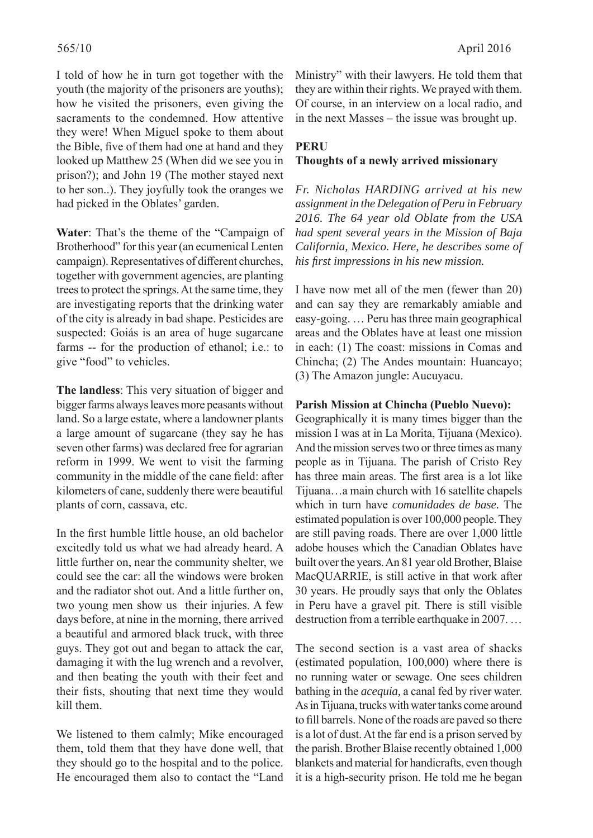I told of how he in turn got together with the youth (the majority of the prisoners are youths); how he visited the prisoners, even giving the sacraments to the condemned. How attentive they were! When Miguel spoke to them about the Bible, five of them had one at hand and they looked up Matthew 25 (When did we see you in prison?); and John 19 (The mother stayed next to her son..). They joyfully took the oranges we had picked in the Oblates' garden.

**Water**: That's the theme of the "Campaign of Brotherhood" for this year (an ecumenical Lenten campaign). Representatives of different churches, together with government agencies, are planting trees to protect the springs. At the same time, they are investigating reports that the drinking water of the city is already in bad shape. Pesticides are suspected: Goiás is an area of huge sugarcane farms -- for the production of ethanol; i.e.: to give "food" to vehicles.

**The landless**: This very situation of bigger and bigger farms always leaves more peasants without land. So a large estate, where a landowner plants a large amount of sugarcane (they say he has seven other farms) was declared free for agrarian reform in 1999. We went to visit the farming community in the middle of the cane field: after kilometers of cane, suddenly there were beautiful plants of corn, cassava, etc.

In the first humble little house, an old bachelor excitedly told us what we had already heard. A little further on, near the community shelter, we could see the car: all the windows were broken and the radiator shot out. And a little further on, two young men show us their injuries. A few days before, at nine in the morning, there arrived a beautiful and armored black truck, with three guys. They got out and began to attack the car, damaging it with the lug wrench and a revolver, and then beating the youth with their feet and their fists, shouting that next time they would kill them.

We listened to them calmly; Mike encouraged them, told them that they have done well, that they should go to the hospital and to the police. He encouraged them also to contact the "Land Ministry" with their lawyers. He told them that they are within their rights. We prayed with them. Of course, in an interview on a local radio, and in the next Masses – the issue was brought up.

# **PERU Thoughts of a newly arrived missionary**

*Fr. Nicholas HARDING arrived at his new assignment in the Delegation of Peru in February 2016. The 64 year old Oblate from the USA had spent several years in the Mission of Baja California, Mexico. Here, he describes some of his fi rst impressions in his new mission.* 

I have now met all of the men (fewer than 20) and can say they are remarkably amiable and easy-going. … Peru has three main geographical areas and the Oblates have at least one mission in each: (1) The coast: missions in Comas and Chincha; (2) The Andes mountain: Huancayo; (3) The Amazon jungle: Aucuyacu.

#### **Parish Mission at Chincha (Pueblo Nuevo):**

Geographically it is many times bigger than the mission I was at in La Morita, Tijuana (Mexico). And the mission serves two or three times as many people as in Tijuana. The parish of Cristo Rey has three main areas. The first area is a lot like Tijuana…a main church with 16 satellite chapels which in turn have *comunidades de base.* The estimated population is over 100,000 people. They are still paving roads. There are over 1,000 little adobe houses which the Canadian Oblates have built over the years. An 81 year old Brother, Blaise MacQUARRIE, is still active in that work after 30 years. He proudly says that only the Oblates in Peru have a gravel pit. There is still visible destruction from a terrible earthquake in 2007. …

The second section is a vast area of shacks (estimated population, 100,000) where there is no running water or sewage. One sees children bathing in the *acequia,* a canal fed by river water. As in Tijuana, trucks with water tanks come around to fill barrels. None of the roads are paved so there is a lot of dust. At the far end is a prison served by the parish. Brother Blaise recently obtained 1,000 blankets and material for handicrafts, even though it is a high-security prison. He told me he began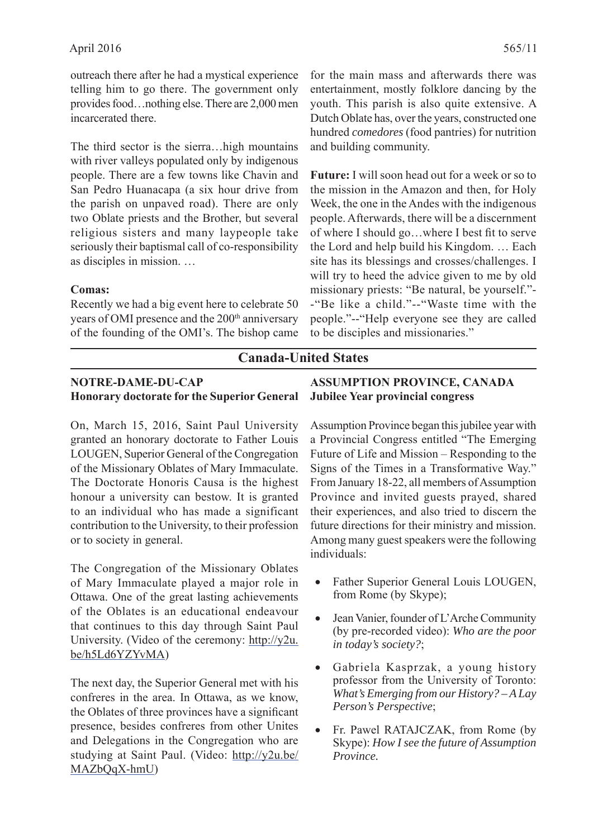outreach there after he had a mystical experience telling him to go there. The government only provides food…nothing else. There are 2,000 men incarcerated there.

The third sector is the sierra…high mountains with river valleys populated only by indigenous people. There are a few towns like Chavin and San Pedro Huanacapa (a six hour drive from the parish on unpaved road). There are only two Oblate priests and the Brother, but several religious sisters and many laypeople take seriously their baptismal call of co-responsibility as disciples in mission. …

#### **Comas:**

Recently we had a big event here to celebrate 50 years of OMI presence and the 200<sup>th</sup> anniversary of the founding of the OMI's. The bishop came

for the main mass and afterwards there was entertainment, mostly folklore dancing by the youth. This parish is also quite extensive. A Dutch Oblate has, over the years, constructed one hundred *comedores* (food pantries) for nutrition and building community.

**Future:** I will soon head out for a week or so to the mission in the Amazon and then, for Holy Week, the one in the Andes with the indigenous people. Afterwards, there will be a discernment of where I should go...where I best fit to serve the Lord and help build his Kingdom. … Each site has its blessings and crosses/challenges. I will try to heed the advice given to me by old missionary priests: "Be natural, be yourself."- -"Be like a child."--"Waste time with the people."--"Help everyone see they are called to be disciples and missionaries."

# **Canada-United States**

# **NOTRE-DAME-DU-CAP Honorary doctorate for the Superior General**

On, March 15, 2016, Saint Paul University granted an honorary doctorate to Father Louis LOUGEN, Superior General of the Congregation of the Missionary Oblates of Mary Immaculate. The Doctorate Honoris Causa is the highest honour a university can bestow. It is granted to an individual who has made a significant contribution to the University, to their profession or to society in general.

The Congregation of the Missionary Oblates of Mary Immaculate played a major role in Ottawa. One of the great lasting achievements of the Oblates is an educational endeavour that continues to this day through Saint Paul University. (Video of the ceremony: http://y2u. be/h5Ld6YZYvMA)

The next day, the Superior General met with his confreres in the area. In Ottawa, as we know, the Oblates of three provinces have a significant presence, besides confreres from other Unites and Delegations in the Congregation who are studying at Saint Paul. (Video: http://y2u.be/ MAZbQqX-hmU)

# **ASSUMPTION PROVINCE, CANADA Jubilee Year provincial congress**

Assumption Province began this jubilee year with a Provincial Congress entitled "The Emerging Future of Life and Mission – Responding to the Signs of the Times in a Transformative Way." From January 18-22, all members of Assumption Province and invited guests prayed, shared their experiences, and also tried to discern the future directions for their ministry and mission. Among many guest speakers were the following individuals:

- Father Superior General Louis LOUGEN, from Rome (by Skype);
- Jean Vanier, founder of L'Arche Community (by pre-recorded video): *Who are the poor in today's society?*;
- Gabriela Kasprzak, a young history professor from the University of Toronto: *What's Emerging from our History? – A Lay Person's Perspective*;
- Fr. Pawel RATAJCZAK, from Rome (by Skype): *How I see the future of Assumption Province.*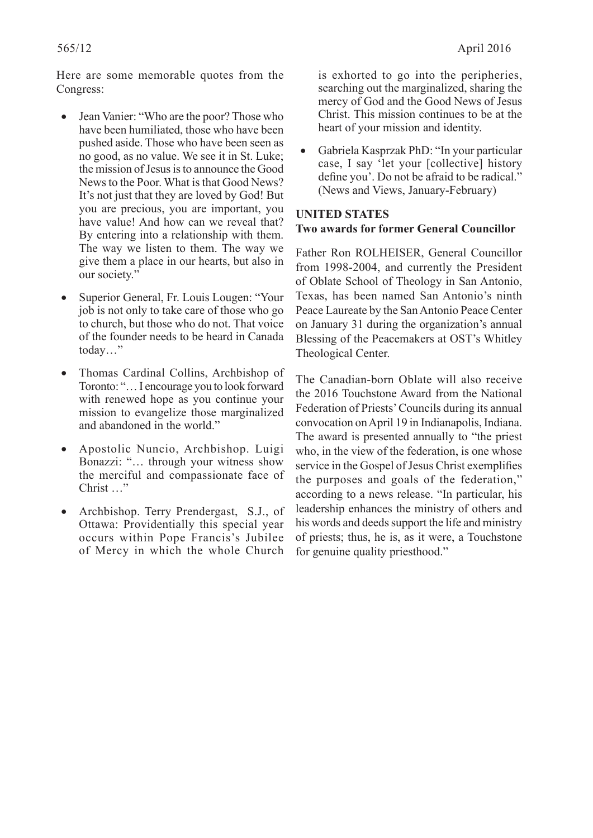Here are some memorable quotes from the Congress:

- Jean Vanier: "Who are the poor? Those who have been humiliated, those who have been pushed aside. Those who have been seen as no good, as no value. We see it in St. Luke; the mission of Jesus is to announce the Good News to the Poor. What is that Good News? It's not just that they are loved by God! But you are precious, you are important, you have value! And how can we reveal that? By entering into a relationship with them. The way we listen to them. The way we give them a place in our hearts, but also in our society."
- Superior General, Fr. Louis Lougen: "Your job is not only to take care of those who go to church, but those who do not. That voice of the founder needs to be heard in Canada today…"
- Thomas Cardinal Collins, Archbishop of Toronto: "… I encourage you to look forward with renewed hope as you continue your mission to evangelize those marginalized and abandoned in the world."
- Apostolic Nuncio, Archbishop. Luigi Bonazzi: "… through your witness show the merciful and compassionate face of Christ …"
- Archbishop. Terry Prendergast, S.J., of Ottawa: Providentially this special year occurs within Pope Francis's Jubilee of Mercy in which the whole Church

is exhorted to go into the peripheries, searching out the marginalized, sharing the mercy of God and the Good News of Jesus Christ. This mission continues to be at the heart of your mission and identity.

 Gabriela Kasprzak PhD: "In your particular case, I say 'let your [collective] history define you'. Do not be afraid to be radical." (News and Views, January-February)

#### **UNITED STATES Two awards for former General Councillor**

Father Ron ROLHEISER, General Councillor from 1998-2004, and currently the President of Oblate School of Theology in San Antonio, Texas, has been named San Antonio's ninth Peace Laureate by the San Antonio Peace Center on January 31 during the organization's annual Blessing of the Peacemakers at OST's Whitley Theological Center.

The Canadian-born Oblate will also receive the 2016 Touchstone Award from the National Federation of Priests' Councils during its annual convocation on April 19 in Indianapolis, Indiana. The award is presented annually to "the priest who, in the view of the federation, is one whose service in the Gospel of Jesus Christ exemplifies the purposes and goals of the federation," according to a news release. "In particular, his leadership enhances the ministry of others and his words and deeds support the life and ministry of priests; thus, he is, as it were, a Touchstone for genuine quality priesthood."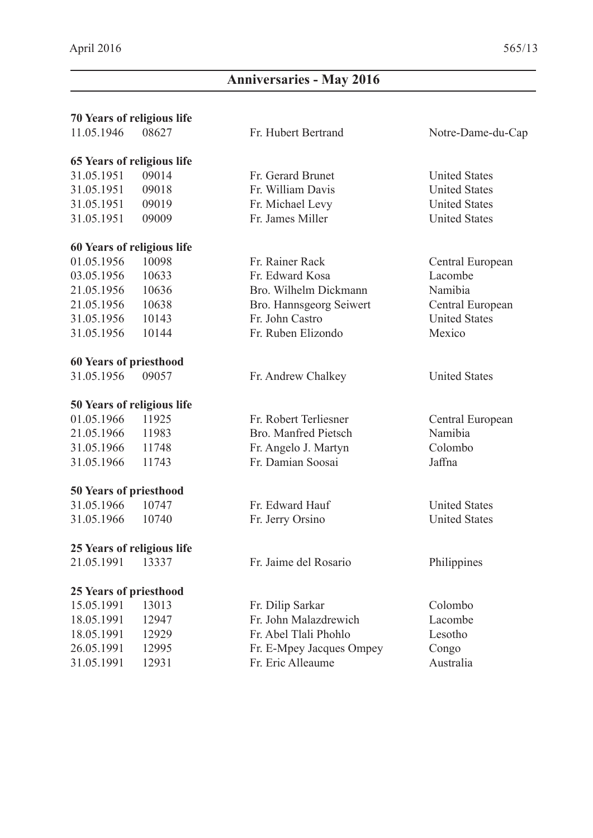# **Anniversaries - May 2016**

# **70 Years of religious life**

# **65 Years of religious life**

 31.05.1951 09014 Fr. Gerard Brunet United States 31.05.1951 09018 Fr. William Davis United States 31.05.1951 09019 Fr. Michael Levy United States 31.05.1951 09009 Fr. James Miller United States

#### **60 Years of religious life**

#### **60 Years of priesthood**

31.05.1956 09057 Fr. Andrew Chalkey United States

#### **50 Years of religious life**

21.05.1966 11983 Bro. Manfred Pietsch Namibia 31.05.1966 11748 Fr. Angelo J. Martyn Colombo 31.05.1966 11743 Fr. Damian Soosai Jaffna

#### **50 Years of priesthood**

 31.05.1966 10747 Fr. Edward Hauf United States 31.05.1966 10740 Fr. Jerry Orsino United States

# **25 Years of religious life**

# **25 Years of priesthood**

| 15.05.1991 | 13013 |
|------------|-------|
| 18.05.1991 | 12947 |
| 18.05.1991 | 12929 |
| 26.05.1991 | 12995 |
| 31.05.1991 | 12931 |

01.05.1956 10098 Fr. Rainer Rack Central European 03.05.1956 10633 Fr. Edward Kosa Lacombe 21.05.1956 10636 Bro. Wilhelm Dickmann Namibia 21.05.1956 10638 Bro. Hannsgeorg Seiwert Central European 31.05.1956 10143 Fr. John Castro United States 31.05.1956 10144 Fr. Ruben Elizondo Mexico

01.05.1966 11925 Fr. Robert Terliesner Central European

21.05.1991 13337 Fr. Jaime del Rosario Philippines

15.05.1991 Fr. Dilip Sarkar Colombo 18.05.1991 12947 Fr. John Malazdrewich Lacombe Fr. Abel Tlali Phohlo Lesotho Fr. E-Mpey Jacques Ompey Congo 31.05.1991 12931 Fr. Eric Alleaume Australia

11.05.1946 08627 Fr. Hubert Bertrand Notre-Dame-du-Cap